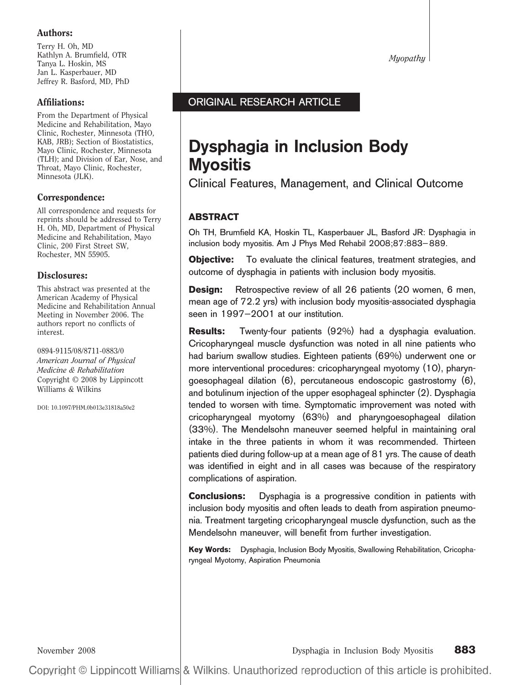# Authors:

Terry H. Oh, MD Kathlyn A. Brumfield, OTR Tanya L. Hoskin, MS Jan L. Kasperbauer, MD Jeffrey R. Basford, MD, PhD

# Affiliations:

From the Department of Physical Medicine and Rehabilitation, Mayo Clinic, Rochester, Minnesota (THO, KAB, JRB); Section of Biostatistics, Mayo Clinic, Rochester, Minnesota (TLH); and Division of Ear, Nose, and Throat, Mayo Clinic, Rochester, Minnesota (JLK).

# Correspondence:

All correspondence and requests for reprints should be addressed to Terry H. Oh, MD, Department of Physical Medicine and Rehabilitation, Mayo Clinic, 200 First Street SW, Rochester, MN 55905.

# Disclosures:

This abstract was presented at the American Academy of Physical Medicine and Rehabilitation Annual Meeting in November 2006. The authors report no conflicts of interest.

0894-9115/08/8711-0883/0 *American Journal of Physical Medicine & Rehabilitation* Copyright © 2008 by Lippincott Williams & Wilkins

DOI: 10.1097/PHM.0b013e31818a50e2

*Myopathy*

# ORIGINAL RESEARCH ARTICLE

# **Dysphagia in Inclusion Body Myositis**

Clinical Features, Management, and Clinical Outcome

# **ABSTRACT**

Oh TH, Brumfield KA, Hoskin TL, Kasperbauer JL, Basford JR: Dysphagia in inclusion body myositis. Am J Phys Med Rehabil 2008;87:883–889.

**Objective:** To evaluate the clinical features, treatment strategies, and outcome of dysphagia in patients with inclusion body myositis.

**Design:** Retrospective review of all 26 patients (20 women, 6 men, mean age of 72.2 yrs) with inclusion body myositis-associated dysphagia seen in 1997–2001 at our institution.

**Results:** Twenty-four patients (92%) had a dysphagia evaluation. Cricopharyngeal muscle dysfunction was noted in all nine patients who had barium swallow studies. Eighteen patients (69%) underwent one or more interventional procedures: cricopharyngeal myotomy (10), pharyngoesophageal dilation (6), percutaneous endoscopic gastrostomy (6), and botulinum injection of the upper esophageal sphincter (2). Dysphagia tended to worsen with time. Symptomatic improvement was noted with cricopharyngeal myotomy (63%) and pharyngoesophageal dilation (33%). The Mendelsohn maneuver seemed helpful in maintaining oral intake in the three patients in whom it was recommended. Thirteen patients died during follow-up at a mean age of 81 yrs. The cause of death was identified in eight and in all cases was because of the respiratory complications of aspiration.

**Conclusions:** Dysphagia is a progressive condition in patients with inclusion body myositis and often leads to death from aspiration pneumonia. Treatment targeting cricopharyngeal muscle dysfunction, such as the Mendelsohn maneuver, will benefit from further investigation.

**Key Words:** Dysphagia, Inclusion Body Myositis, Swallowing Rehabilitation, Cricopharyngeal Myotomy, Aspiration Pneumonia

November 2008 Dysphagia in Inclusion Body Myositis **883**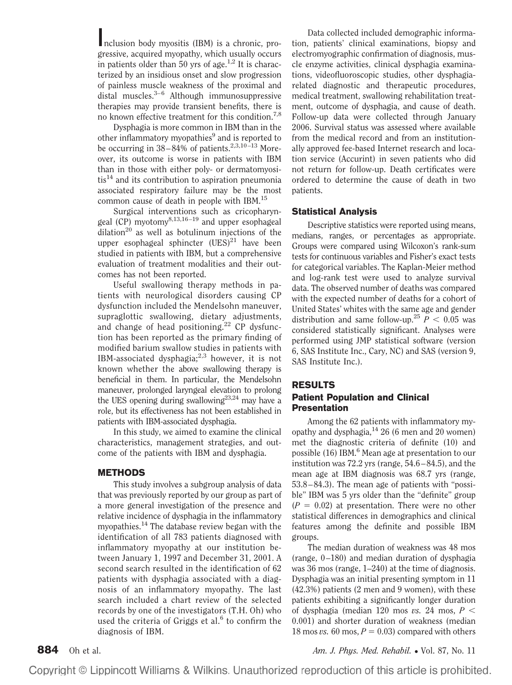Inclusion body myositis (IBM) is a chronic, progressive, acquired myopathy, which usually occurs in patients older than 50 yrs of age.<sup>1,2</sup> It is characterized by an insidious onset and slow progression of painless muscle weakness of the proximal and distal muscles. $3-6$  Although immunosuppressive therapies may provide transient benefits, there is no known effective treatment for this condition.<sup>7,8</sup>

Dysphagia is more common in IBM than in the other inflammatory myopathies<sup>9</sup> and is reported to be occurring in  $38-84\%$  of patients.<sup>2,3,10-13</sup> Moreover, its outcome is worse in patients with IBM than in those with either poly- or dermatomyosi $tis^{14}$  and its contribution to aspiration pneumonia associated respiratory failure may be the most common cause of death in people with IBM.15

Surgical interventions such as cricopharyngeal (CP) myotomy $^{8,13,16-19}$  and upper esophageal dilation<sup>20</sup> as well as botulinum injections of the upper esophageal sphincter  $(UES)^{21}$  have been studied in patients with IBM, but a comprehensive evaluation of treatment modalities and their outcomes has not been reported.

Useful swallowing therapy methods in patients with neurological disorders causing CP dysfunction included the Mendelsohn maneuver, supraglottic swallowing, dietary adjustments, and change of head positioning.<sup>22</sup> CP dysfunction has been reported as the primary finding of modified barium swallow studies in patients with IBM-associated dysphagia; $^{2,3}$  however, it is not known whether the above swallowing therapy is beneficial in them. In particular, the Mendelsohn maneuver, prolonged laryngeal elevation to prolong the UES opening during swallowing<sup>23,24</sup> may have a role, but its effectiveness has not been established in patients with IBM-associated dysphagia.

In this study, we aimed to examine the clinical characteristics, management strategies, and outcome of the patients with IBM and dysphagia.

#### **METHODS**

This study involves a subgroup analysis of data that was previously reported by our group as part of a more general investigation of the presence and relative incidence of dysphagia in the inflammatory myopathies.<sup>14</sup> The database review began with the identification of all 783 patients diagnosed with inflammatory myopathy at our institution between January 1, 1997 and December 31, 2001. A second search resulted in the identification of 62 patients with dysphagia associated with a diagnosis of an inflammatory myopathy. The last search included a chart review of the selected records by one of the investigators (T.H. Oh) who used the criteria of Griggs et al. $6$  to confirm the diagnosis of IBM.

Data collected included demographic information, patients' clinical examinations, biopsy and electromyographic confirmation of diagnosis, muscle enzyme activities, clinical dysphagia examinations, videofluoroscopic studies, other dysphagiarelated diagnostic and therapeutic procedures, medical treatment, swallowing rehabilitation treatment, outcome of dysphagia, and cause of death. Follow-up data were collected through January 2006. Survival status was assessed where available from the medical record and from an institutionally approved fee-based Internet research and location service (Accurint) in seven patients who did not return for follow-up. Death certificates were ordered to determine the cause of death in two patients.

#### **Statistical Analysis**

Descriptive statistics were reported using means, medians, ranges, or percentages as appropriate. Groups were compared using Wilcoxon's rank-sum tests for continuous variables and Fisher's exact tests for categorical variables. The Kaplan-Meier method and log-rank test were used to analyze survival data. The observed number of deaths was compared with the expected number of deaths for a cohort of United States' whites with the same age and gender distribution and same follow-up.<sup>25</sup>  $P < 0.05$  was considered statistically significant. Analyses were performed using JMP statistical software (version 6, SAS Institute Inc., Cary, NC) and SAS (version 9, SAS Institute Inc.).

## **RESULTS Patient Population and Clinical Presentation**

Among the 62 patients with inflammatory myopathy and dysphagia, $14\,26$  (6 men and 20 women) met the diagnostic criteria of definite (10) and possible  $(16)$  IBM.<sup>6</sup> Mean age at presentation to our institution was  $72.2$  yrs (range,  $54.6 - 84.5$ ), and the mean age at IBM diagnosis was 68.7 yrs (range, 53.8 – 84.3). The mean age of patients with "possible" IBM was 5 yrs older than the "definite" group  $(P = 0.02)$  at presentation. There were no other statistical differences in demographics and clinical features among the definite and possible IBM groups.

The median duration of weakness was 48 mos  $(range, 0-180)$  and median duration of dysphagia was 36 mos (range, 1–240) at the time of diagnosis. Dysphagia was an initial presenting symptom in 11 (42.3%) patients (2 men and 9 women), with these patients exhibiting a significantly longer duration of dysphagia (median 120 mos *vs.* 24 mos, *P* 0.001) and shorter duration of weakness (median 18 mos *vs*. 60 mos,  $P = 0.03$  compared with others

**884** Oh et al. *Am. J. Phys. Med. Rehabil.* ● Vol. 87, No. 11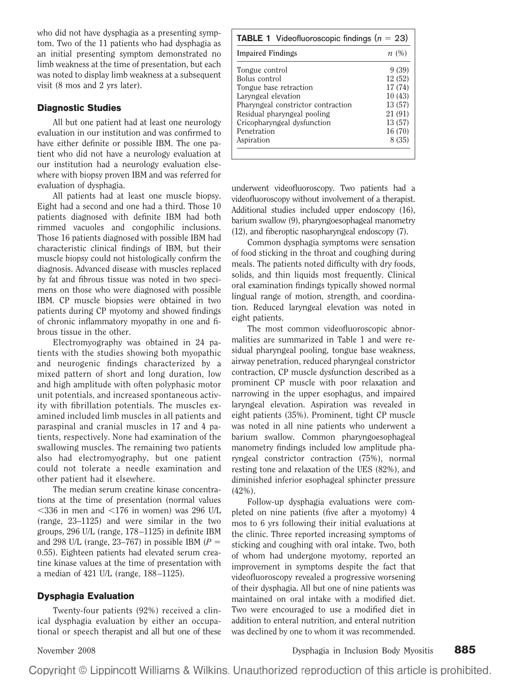who did not have dysphagia as a presenting symptom. Two of the 11 patients who had dysphagia as an initial presenting symptom demonstrated no limb weakness at the time of presentation, but each was noted to display limb weakness at a subsequent visit (8 mos and 2 yrs later).

#### **Diagnostic Studies**

All but one patient had at least one neurology evaluation in our institution and was confirmed to have either definite or possible IBM. The one patient who did not have a neurology evaluation at our institution had a neurology evaluation elsewhere with biopsy proven IBM and was referred for evaluation of dysphagia.

All patients had at least one muscle biopsy. Eight had a second and one had a third. Those 10 patients diagnosed with definite IBM had both rimmed vacuoles and congophilic inclusions. Those 16 patients diagnosed with possible IBM had characteristic clinical findings of IBM, but their muscle biopsy could not histologically confirm the diagnosis. Advanced disease with muscles replaced by fat and fibrous tissue was noted in two specimens on those who were diagnosed with possible IBM. CP muscle biopsies were obtained in two patients during CP myotomy and showed findings of chronic inflammatory myopathy in one and fibrous tissue in the other.

Electromyography was obtained in 24 patients with the studies showing both myopathic and neurogenic findings characterized by a mixed pattern of short and long duration, low and high amplitude with often polyphasic motor unit potentials, and increased spontaneous activity with fibrillation potentials. The muscles examined included limb muscles in all patients and paraspinal and cranial muscles in 17 and 4 patients, respectively. None had examination of the swallowing muscles. The remaining two patients also had electromyography, but one patient could not tolerate a needle examination and other patient had it elsewhere.

The median serum creatine kinase concentrations at the time of presentation (normal values  $\leq$ 336 in men and  $\leq$ 176 in women) was 296 U/L (range, 23–1125) and were similar in the two groups, 296 U/L (range, 178 –1125) in definite IBM and 298 U/L (range, 23–767) in possible IBM ( $P =$ 0.55). Eighteen patients had elevated serum creatine kinase values at the time of presentation with a median of 421 U/L (range, 188 –1125).

#### **Dysphagia Evaluation**

Twenty-four patients (92%) received a clinical dysphagia evaluation by either an occupational or speech therapist and all but one of these

**TABLE 1** Videofluoroscopic findings  $(n = 23)$ **Impaired Findings** *n* (%) Tongue control  $9 \t(39)$ <br>Bolus control  $12 \t(52)$ Bolus control 12 (52)<br>Tongue base retraction 17 (74) Tongue base retraction 17 (74)<br>
Laryngeal elevation 10 (43) Laryngeal elevation Pharyngeal constrictor contraction 13 (57) Residual pharyngeal pooling 21 (91) Cricopharyngeal dysfunction 13 (57) Penetration 16 (70) Aspiration 8 (35)

underwent videofluoroscopy. Two patients had a videofluoroscopy without involvement of a therapist. Additional studies included upper endoscopy (16), barium swallow (9), pharyngoesophageal manometry (12), and fiberoptic nasopharyngeal endoscopy (7).

Common dysphagia symptoms were sensation of food sticking in the throat and coughing during meals. The patients noted difficulty with dry foods, solids, and thin liquids most frequently. Clinical oral examination findings typically showed normal lingual range of motion, strength, and coordination. Reduced laryngeal elevation was noted in eight patients.

The most common videofluoroscopic abnormalities are summarized in Table 1 and were residual pharyngeal pooling, tongue base weakness, airway penetration, reduced pharyngeal constrictor contraction, CP muscle dysfunction described as a prominent CP muscle with poor relaxation and narrowing in the upper esophagus, and impaired laryngeal elevation. Aspiration was revealed in eight patients (35%). Prominent, tight CP muscle was noted in all nine patients who underwent a barium swallow. Common pharyngoesophageal manometry findings included low amplitude pharyngeal constrictor contraction (75%), normal resting tone and relaxation of the UES (82%), and diminished inferior esophageal sphincter pressure (42%).

Follow-up dysphagia evaluations were completed on nine patients (five after a myotomy) 4 mos to 6 yrs following their initial evaluations at the clinic. Three reported increasing symptoms of sticking and coughing with oral intake. Two, both of whom had undergone myotomy, reported an improvement in symptoms despite the fact that videofluoroscopy revealed a progressive worsening of their dysphagia. All but one of nine patients was maintained on oral intake with a modified diet. Two were encouraged to use a modified diet in addition to enteral nutrition, and enteral nutrition was declined by one to whom it was recommended.

November 2008 Dysphagia in Inclusion Body Myositis **885**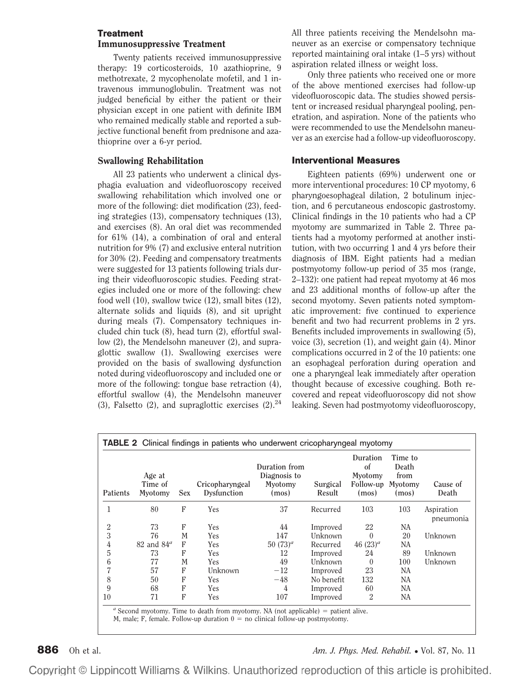## **Treatment** Immunosuppressive Treatment

Twenty patients received immunosuppressive therapy: 19 corticosteroids, 10 azathioprine, 9 methotrexate, 2 mycophenolate mofetil, and 1 intravenous immunoglobulin. Treatment was not judged beneficial by either the patient or their physician except in one patient with definite IBM who remained medically stable and reported a subjective functional benefit from prednisone and azathioprine over a 6-yr period.

# Swallowing Rehabilitation

All 23 patients who underwent a clinical dysphagia evaluation and videofluoroscopy received swallowing rehabilitation which involved one or more of the following: diet modification (23), feeding strategies (13), compensatory techniques (13), and exercises (8). An oral diet was recommended for 61% (14), a combination of oral and enteral nutrition for 9% (7) and exclusive enteral nutrition for 30% (2). Feeding and compensatory treatments were suggested for 13 patients following trials during their videofluoroscopic studies. Feeding strategies included one or more of the following: chew food well (10), swallow twice (12), small bites (12), alternate solids and liquids (8), and sit upright during meals (7). Compensatory techniques included chin tuck (8), head turn (2), effortful swallow (2), the Mendelsohn maneuver (2), and supraglottic swallow (1). Swallowing exercises were provided on the basis of swallowing dysfunction noted during videofluoroscopy and included one or more of the following: tongue base retraction (4), effortful swallow (4), the Mendelsohn maneuver (3), Falsetto (2), and supraglottic exercises  $(2)$ .<sup>24</sup>

All three patients receiving the Mendelsohn maneuver as an exercise or compensatory technique reported maintaining oral intake (1–5 yrs) without aspiration related illness or weight loss.

Only three patients who received one or more of the above mentioned exercises had follow-up videofluoroscopic data. The studies showed persistent or increased residual pharyngeal pooling, penetration, and aspiration. None of the patients who were recommended to use the Mendelsohn maneuver as an exercise had a follow-up videofluoroscopy.

## **Interventional Measures**

Eighteen patients (69%) underwent one or more interventional procedures: 10 CP myotomy, 6 pharyngoesophageal dilation, 2 botulinum injection, and 6 percutaneous endoscopic gastrostomy. Clinical findings in the 10 patients who had a CP myotomy are summarized in Table 2. Three patients had a myotomy performed at another institution, with two occurring 1 and 4 yrs before their diagnosis of IBM. Eight patients had a median postmyotomy follow-up period of 35 mos (range, 2–132): one patient had repeat myotomy at 46 mos and 23 additional months of follow-up after the second myotomy. Seven patients noted symptomatic improvement: five continued to experience benefit and two had recurrent problems in 2 yrs. Benefits included improvements in swallowing (5), voice (3), secretion (1), and weight gain (4). Minor complications occurred in 2 of the 10 patients: one an esophageal perforation during operation and one a pharyngeal leak immediately after operation thought because of excessive coughing. Both recovered and repeat videofluoroscopy did not show leaking. Seven had postmyotomy videofluoroscopy,

| <b>TABLE 2</b> Clinical findings in patients who underwent cricopharyngeal myotomy                   |                              |            |                                |                                                   |                    |                                                 |                                              |                   |
|------------------------------------------------------------------------------------------------------|------------------------------|------------|--------------------------------|---------------------------------------------------|--------------------|-------------------------------------------------|----------------------------------------------|-------------------|
| Patients                                                                                             | Age at<br>Time of<br>Myotomy | <b>Sex</b> | Cricopharyngeal<br>Dysfunction | Duration from<br>Diagnosis to<br>Myotomy<br>(mos) | Surgical<br>Result | Duration<br>0f<br>Myotomy<br>Follow-up<br>(mos) | Time to<br>Death<br>from<br>Myotomy<br>(mos) | Cause of<br>Death |
|                                                                                                      | 80                           | F          | Yes                            | 37                                                | Recurred           | 103                                             | 103                                          | Aspiration        |
| $\overline{2}$                                                                                       | 73                           | F          | Yes                            | 44                                                | Improved           | 22                                              | NA                                           | pneumonia         |
| 3                                                                                                    | 76                           | M          | Yes                            | 147                                               | Unknown            | $\theta$                                        | 20                                           | Unknown           |
| 4                                                                                                    | 82 and $84^{\circ}$          | F          | Yes                            | 50 $(73)^{a}$                                     | Recurred           | 46 $(23)^{a}$                                   | NA                                           |                   |
| 5                                                                                                    | 73                           | F          | Yes                            | 12                                                | Improved           | 24                                              | 89                                           | Unknown           |
| 6                                                                                                    | 77                           | M          | Yes                            | 49                                                | Unknown            | $\theta$                                        | 100                                          | Unknown           |
| 7                                                                                                    | 57                           | F          | Unknown                        | $-12$                                             | Improved           | 23                                              | NA                                           |                   |
| 8                                                                                                    | 50                           | F          | Yes                            | $-48$                                             | No benefit         | 132                                             | NA                                           |                   |
| 9                                                                                                    | 68                           | F          | <b>Yes</b>                     | 4                                                 | Improved           | 60                                              | NA                                           |                   |
| 10                                                                                                   | 71                           | F          | Yes                            | 107                                               | Improved           | 2                                               | NA                                           |                   |
| <sup><i>a</i></sup> Second myotomy. Time to death from myotomy. NA (not applicable) = patient alive. |                              |            |                                |                                                   |                    |                                                 |                                              |                   |

M, male; F, female. Follow-up duration  $0 =$  no clinical follow-up postmyotomy.

**886** Oh et al. *Am. J. Phys. Med. Rehabil.* ● Vol. 87, No. 11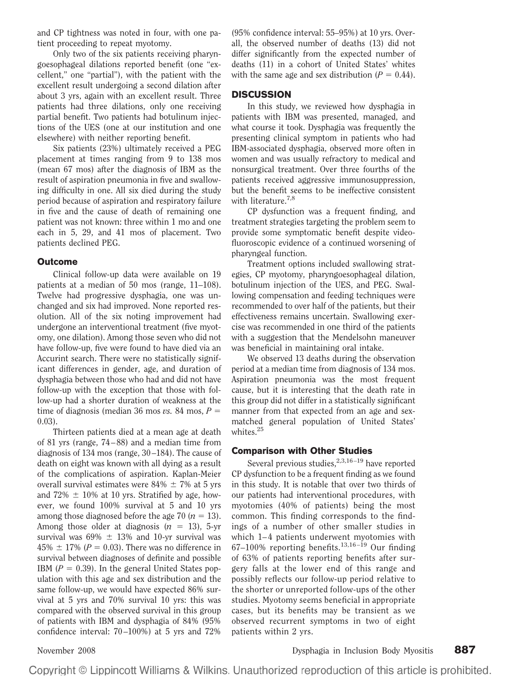and CP tightness was noted in four, with one patient proceeding to repeat myotomy.

Only two of the six patients receiving pharyngoesophageal dilations reported benefit (one "excellent," one "partial"), with the patient with the excellent result undergoing a second dilation after about 3 yrs, again with an excellent result. Three patients had three dilations, only one receiving partial benefit. Two patients had botulinum injections of the UES (one at our institution and one elsewhere) with neither reporting benefit.

Six patients (23%) ultimately received a PEG placement at times ranging from 9 to 138 mos (mean 67 mos) after the diagnosis of IBM as the result of aspiration pneumonia in five and swallowing difficulty in one. All six died during the study period because of aspiration and respiratory failure in five and the cause of death of remaining one patient was not known: three within 1 mo and one each in 5, 29, and 41 mos of placement. Two patients declined PEG.

#### **Outcome**

Clinical follow-up data were available on 19 patients at a median of 50 mos (range, 11–108). Twelve had progressive dysphagia, one was unchanged and six had improved. None reported resolution. All of the six noting improvement had undergone an interventional treatment (five myotomy, one dilation). Among those seven who did not have follow-up, five were found to have died via an Accurint search. There were no statistically significant differences in gender, age, and duration of dysphagia between those who had and did not have follow-up with the exception that those with follow-up had a shorter duration of weakness at the time of diagnosis (median 36 mos  $vs. 84$  mos,  $P =$ 0.03).

Thirteen patients died at a mean age at death of 81 yrs (range, 74 – 88) and a median time from diagnosis of 134 mos (range, 30 –184). The cause of death on eight was known with all dying as a result of the complications of aspiration. Kaplan-Meier overall survival estimates were  $84\% \pm 7\%$  at 5 yrs and  $72\% \pm 10\%$  at 10 yrs. Stratified by age, however, we found 100% survival at 5 and 10 yrs among those diagnosed before the age  $70 (n = 13)$ . Among those older at diagnosis  $(n = 13)$ , 5-yr survival was  $69\% \pm 13\%$  and 10-yr survival was  $45\% \pm 17\%$  ( $P = 0.03$ ). There was no difference in survival between diagnoses of definite and possible IBM  $(P = 0.39)$ . In the general United States population with this age and sex distribution and the same follow-up, we would have expected 86% survival at 5 yrs and 70% survival 10 yrs: this was compared with the observed survival in this group of patients with IBM and dysphagia of 84% (95% confidence interval: 70 –100%) at 5 yrs and 72%

(95% confidence interval: 55–95%) at 10 yrs. Overall, the observed number of deaths (13) did not differ significantly from the expected number of deaths (11) in a cohort of United States' whites with the same age and sex distribution  $(P = 0.44)$ .

#### **DISCUSSION**

In this study, we reviewed how dysphagia in patients with IBM was presented, managed, and what course it took. Dysphagia was frequently the presenting clinical symptom in patients who had IBM-associated dysphagia, observed more often in women and was usually refractory to medical and nonsurgical treatment. Over three fourths of the patients received aggressive immunosuppression, but the benefit seems to be ineffective consistent with literature.<sup>7,8</sup>

CP dysfunction was a frequent finding, and treatment strategies targeting the problem seem to provide some symptomatic benefit despite videofluoroscopic evidence of a continued worsening of pharyngeal function.

Treatment options included swallowing strategies, CP myotomy, pharyngoesophageal dilation, botulinum injection of the UES, and PEG. Swallowing compensation and feeding techniques were recommended to over half of the patients, but their effectiveness remains uncertain. Swallowing exercise was recommended in one third of the patients with a suggestion that the Mendelsohn maneuver was beneficial in maintaining oral intake.

We observed 13 deaths during the observation period at a median time from diagnosis of 134 mos. Aspiration pneumonia was the most frequent cause, but it is interesting that the death rate in this group did not differ in a statistically significant manner from that expected from an age and sexmatched general population of United States' whites.<sup>25</sup>

#### **Comparison with Other Studies**

Several previous studies,  $2,3,16-19$  have reported CP dysfunction to be a frequent finding as we found in this study. It is notable that over two thirds of our patients had interventional procedures, with myotomies (40% of patients) being the most common. This finding corresponds to the findings of a number of other smaller studies in which  $1-4$  patients underwent myotomies with  $67-100\%$  reporting benefits.<sup>13,16-19</sup> Our finding of 63% of patients reporting benefits after surgery falls at the lower end of this range and possibly reflects our follow-up period relative to the shorter or unreported follow-ups of the other studies. Myotomy seems beneficial in appropriate cases, but its benefits may be transient as we observed recurrent symptoms in two of eight patients within 2 yrs.

November 2008 Dysphagia in Inclusion Body Myositis **887**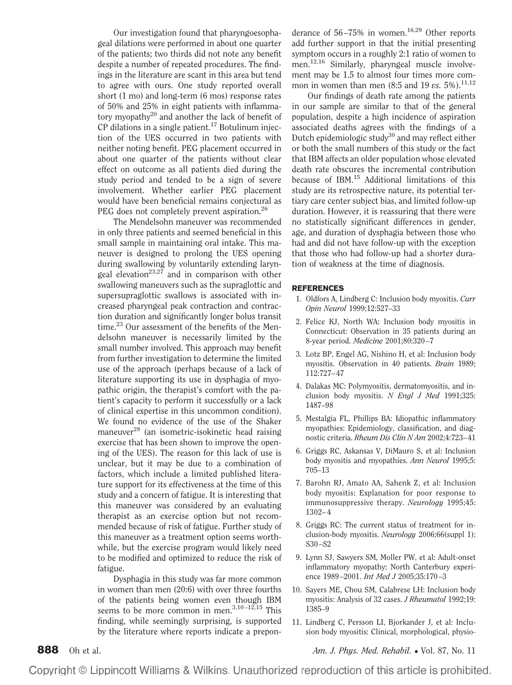Our investigation found that pharyngoesophageal dilations were performed in about one quarter of the patients; two thirds did not note any benefit despite a number of repeated procedures. The findings in the literature are scant in this area but tend to agree with ours. One study reported overall short (1 mo) and long-term (6 mos) response rates of 50% and 25% in eight patients with inflammatory myopathy $^{20}$  and another the lack of benefit of  $CP$  dilations in a single patient.<sup>17</sup> Botulinum injection of the UES occurred in two patients with neither noting benefit. PEG placement occurred in about one quarter of the patients without clear effect on outcome as all patients died during the study period and tended to be a sign of severe involvement. Whether earlier PEG placement would have been beneficial remains conjectural as PEG does not completely prevent aspiration.<sup>26</sup>

The Mendelsohn maneuver was recommended in only three patients and seemed beneficial in this small sample in maintaining oral intake. This maneuver is designed to prolong the UES opening during swallowing by voluntarily extending laryngeal elevation<sup>23,27</sup> and in comparison with other swallowing maneuvers such as the supraglottic and supersupraglottic swallows is associated with increased pharyngeal peak contraction and contraction duration and significantly longer bolus transit time. $^{23}$  Our assessment of the benefits of the Mendelsohn maneuver is necessarily limited by the small number involved. This approach may benefit from further investigation to determine the limited use of the approach (perhaps because of a lack of literature supporting its use in dysphagia of myopathic origin, the therapist's comfort with the patient's capacity to perform it successfully or a lack of clinical expertise in this uncommon condition). We found no evidence of the use of the Shaker maneuver<sup>28</sup> (an isometric-isokinetic head raising exercise that has been shown to improve the opening of the UES). The reason for this lack of use is unclear, but it may be due to a combination of factors, which include a limited published literature support for its effectiveness at the time of this study and a concern of fatigue. It is interesting that this maneuver was considered by an evaluating therapist as an exercise option but not recommended because of risk of fatigue. Further study of this maneuver as a treatment option seems worthwhile, but the exercise program would likely need to be modified and optimized to reduce the risk of fatigue.

Dysphagia in this study was far more common in women than men (20:6) with over three fourths of the patients being women even though IBM seems to be more common in men. $3,10-12,15$  This finding, while seemingly surprising, is supported by the literature where reports indicate a preponderance of  $56 - 75\%$  in women.<sup>16,29</sup> Other reports add further support in that the initial presenting symptom occurs in a roughly 2:1 ratio of women to men.<sup>12,16</sup> Similarly, pharyngeal muscle involvement may be 1.5 to almost four times more common in women than men  $(8:5 \text{ and } 19 \text{ vs. } 5\%)$ .<sup>11,12</sup>

Our findings of death rate among the patients in our sample are similar to that of the general population, despite a high incidence of aspiration associated deaths agrees with the findings of a Dutch epidemiologic study<sup>30</sup> and may reflect either or both the small numbers of this study or the fact that IBM affects an older population whose elevated death rate obscures the incremental contribution because of IBM.15 Additional limitations of this study are its retrospective nature, its potential tertiary care center subject bias, and limited follow-up duration. However, it is reassuring that there were no statistically significant differences in gender, age, and duration of dysphagia between those who had and did not have follow-up with the exception that those who had follow-up had a shorter duration of weakness at the time of diagnosis.

#### **REFERENCES**

- 1. Oldfors A, Lindberg C: Inclusion body myositis. *Curr Opin Neurol* 1999;12:527–33
- 2. Felice KJ, North WA: Inclusion body myositis in Connecticut: Observation in 35 patients during an 8-year period. *Medicine* 2001;80:320 –7
- 3. Lotz BP, Engel AG, Nishino H, et al: Inclusion body myositis. Observation in 40 patients. *Brain* 1989; 112:727– 47
- 4. Dalakas MC: Polymyositis, dermatomyositis, and inclusion body myositis. *N Engl J Med* 1991;325: 1487–98
- 5. Mestalgia FL, Phillips BA: Idiopathic inflammatory myopathies: Epidemiology, classification, and diagnostic criteria. *Rheum Dis Clin N Am* 2002;4:723– 41
- 6. Griggs RC, Askansas V, DiMauro S, et al: Inclusion body myositis and myopathies. *Ann Neurol* 1995;5: 705–13
- 7. Barohn RJ, Amato AA, Sahenk Z, et al: Inclusion body myositis: Explanation for poor response to immunosuppressive therapy. *Neurology* 1995;45: 1302– 4
- 8. Griggs RC: The current status of treatment for inclusion-body myositis. *Neurology* 2006;66(suppl 1): S30 –S2
- 9. Lynn SJ, Sawyers SM, Moller PW, et al: Adult-onset inflammatory myopathy: North Canterbury experience 1989 –2001. *Int Med J* 2005;35:170 –3
- 10. Sayers ME, Chou SM, Calabrese LH: Inclusion body myositis: Analysis of 32 cases. *J Rheumatol* 1992;19: 1385–9
- 11. Lindberg C, Persson LI, Bjorkander J, et al: Inclusion body myositis: Clinical, morphological, physio-

**888** Oh et al. *Am. J. Phys. Med. Rehabil.* ● Vol. 87, No. 11